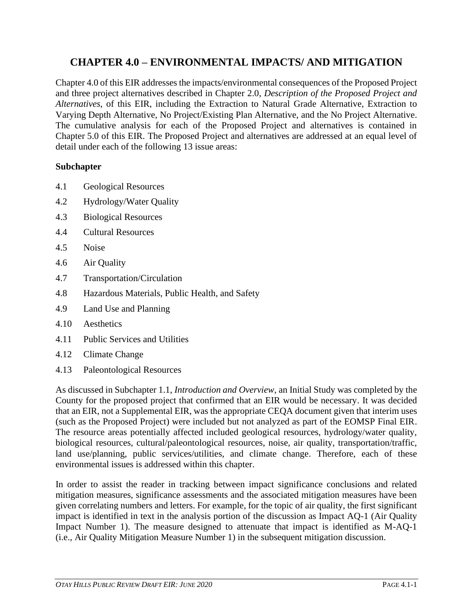# **CHAPTER 4.0 – ENVIRONMENTAL IMPACTS/ AND MITIGATION**

Chapter 4.0 of this EIR addresses the impacts/environmental consequences of the Proposed Project and three project alternatives described in Chapter 2.0, *Description of the Proposed Project and Alternatives*, of this EIR, including the Extraction to Natural Grade Alternative, Extraction to Varying Depth Alternative, No Project/Existing Plan Alternative, and the No Project Alternative. The cumulative analysis for each of the Proposed Project and alternatives is contained in Chapter 5.0 of this EIR. The Proposed Project and alternatives are addressed at an equal level of detail under each of the following 13 issue areas:

## **Subchapter**

- 4.1 Geological Resources
- 4.2 Hydrology/Water Quality
- 4.3 Biological Resources
- 4.4 Cultural Resources
- 4.5 Noise
- 4.6 Air Quality
- 4.7 Transportation/Circulation
- 4.8 Hazardous Materials, Public Health, and Safety
- 4.9 Land Use and Planning
- 4.10 Aesthetics
- 4.11 Public Services and Utilities
- 4.12 Climate Change
- 4.13 Paleontological Resources

As discussed in Subchapter 1.1, *Introduction and Overview*, an Initial Study was completed by the County for the proposed project that confirmed that an EIR would be necessary. It was decided that an EIR, not a Supplemental EIR, was the appropriate CEQA document given that interim uses (such as the Proposed Project) were included but not analyzed as part of the EOMSP Final EIR. The resource areas potentially affected included geological resources, hydrology/water quality, biological resources, cultural/paleontological resources, noise, air quality, transportation/traffic, land use/planning, public services/utilities, and climate change. Therefore, each of these environmental issues is addressed within this chapter.

In order to assist the reader in tracking between impact significance conclusions and related mitigation measures, significance assessments and the associated mitigation measures have been given correlating numbers and letters. For example, for the topic of air quality, the first significant impact is identified in text in the analysis portion of the discussion as Impact AQ-1 (Air Quality Impact Number 1). The measure designed to attenuate that impact is identified as M-AQ-1 (i.e., Air Quality Mitigation Measure Number 1) in the subsequent mitigation discussion.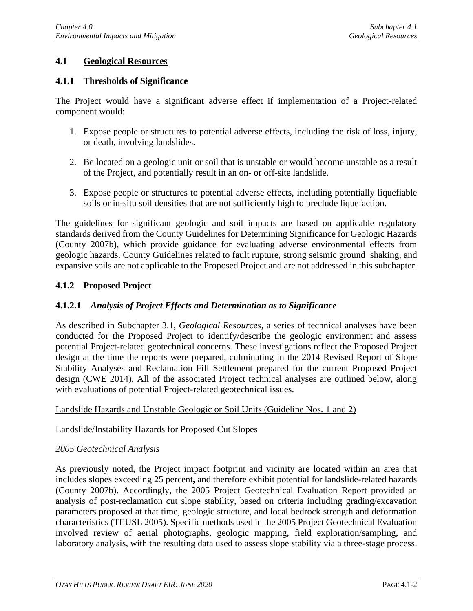# **4.1 Geological Resources**

## **4.1.1 Thresholds of Significance**

The Project would have a significant adverse effect if implementation of a Project-related component would:

- 1. Expose people or structures to potential adverse effects, including the risk of loss, injury, or death, involving landslides.
- 2. Be located on a geologic unit or soil that is unstable or would become unstable as a result of the Project, and potentially result in an on- or off-site landslide.
- 3. Expose people or structures to potential adverse effects, including potentially liquefiable soils or in-situ soil densities that are not sufficiently high to preclude liquefaction.

The guidelines for significant geologic and soil impacts are based on applicable regulatory standards derived from the County Guidelines for Determining Significance for Geologic Hazards (County 2007b), which provide guidance for evaluating adverse environmental effects from geologic hazards. County Guidelines related to fault rupture, strong seismic ground shaking, and expansive soils are not applicable to the Proposed Project and are not addressed in this subchapter.

# **4.1.2 Proposed Project**

# **4.1.2.1** *Analysis of Project Effects and Determination as to Significance*

As described in Subchapter 3.1, *Geological Resources*, a series of technical analyses have been conducted for the Proposed Project to identify/describe the geologic environment and assess potential Project-related geotechnical concerns. These investigations reflect the Proposed Project design at the time the reports were prepared, culminating in the 2014 Revised Report of Slope Stability Analyses and Reclamation Fill Settlement prepared for the current Proposed Project design (CWE 2014). All of the associated Project technical analyses are outlined below, along with evaluations of potential Project-related geotechnical issues.

## Landslide Hazards and Unstable Geologic or Soil Units (Guideline Nos. 1 and 2)

Landslide/Instability Hazards for Proposed Cut Slopes

## *2005 Geotechnical Analysis*

As previously noted, the Project impact footprint and vicinity are located within an area that includes slopes exceeding 25 percent**,** and therefore exhibit potential for landslide-related hazards (County 2007b). Accordingly, the 2005 Project Geotechnical Evaluation Report provided an analysis of post-reclamation cut slope stability, based on criteria including grading/excavation parameters proposed at that time, geologic structure, and local bedrock strength and deformation characteristics (TEUSL 2005). Specific methods used in the 2005 Project Geotechnical Evaluation involved review of aerial photographs, geologic mapping, field exploration/sampling, and laboratory analysis, with the resulting data used to assess slope stability via a three-stage process.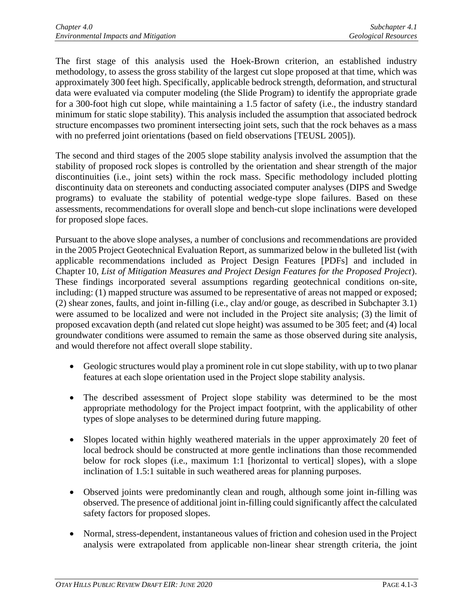The first stage of this analysis used the Hoek-Brown criterion, an established industry methodology, to assess the gross stability of the largest cut slope proposed at that time, which was approximately 300 feet high. Specifically, applicable bedrock strength, deformation, and structural data were evaluated via computer modeling (the Slide Program) to identify the appropriate grade for a 300-foot high cut slope, while maintaining a 1.5 factor of safety (i.e., the industry standard minimum for static slope stability). This analysis included the assumption that associated bedrock structure encompasses two prominent intersecting joint sets, such that the rock behaves as a mass with no preferred joint orientations (based on field observations [TEUSL 2005]).

The second and third stages of the 2005 slope stability analysis involved the assumption that the stability of proposed rock slopes is controlled by the orientation and shear strength of the major discontinuities (i.e., joint sets) within the rock mass. Specific methodology included plotting discontinuity data on stereonets and conducting associated computer analyses (DIPS and Swedge programs) to evaluate the stability of potential wedge-type slope failures. Based on these assessments, recommendations for overall slope and bench-cut slope inclinations were developed for proposed slope faces.

Pursuant to the above slope analyses, a number of conclusions and recommendations are provided in the 2005 Project Geotechnical Evaluation Report, as summarized below in the bulleted list (with applicable recommendations included as Project Design Features [PDFs] and included in Chapter 10, *List of Mitigation Measures and Project Design Features for the Proposed Project*). These findings incorporated several assumptions regarding geotechnical conditions on-site, including: (1) mapped structure was assumed to be representative of areas not mapped or exposed; (2) shear zones, faults, and joint in-filling (i.e., clay and/or gouge, as described in Subchapter 3.1) were assumed to be localized and were not included in the Project site analysis; (3) the limit of proposed excavation depth (and related cut slope height) was assumed to be 305 feet; and (4) local groundwater conditions were assumed to remain the same as those observed during site analysis, and would therefore not affect overall slope stability.

- Geologic structures would play a prominent role in cut slope stability, with up to two planar features at each slope orientation used in the Project slope stability analysis.
- The described assessment of Project slope stability was determined to be the most appropriate methodology for the Project impact footprint, with the applicability of other types of slope analyses to be determined during future mapping.
- Slopes located within highly weathered materials in the upper approximately 20 feet of local bedrock should be constructed at more gentle inclinations than those recommended below for rock slopes (i.e., maximum 1:1 [horizontal to vertical] slopes), with a slope inclination of 1.5:1 suitable in such weathered areas for planning purposes.
- Observed joints were predominantly clean and rough, although some joint in-filling was observed. The presence of additional joint in-filling could significantly affect the calculated safety factors for proposed slopes.
- Normal, stress-dependent, instantaneous values of friction and cohesion used in the Project analysis were extrapolated from applicable non-linear shear strength criteria, the joint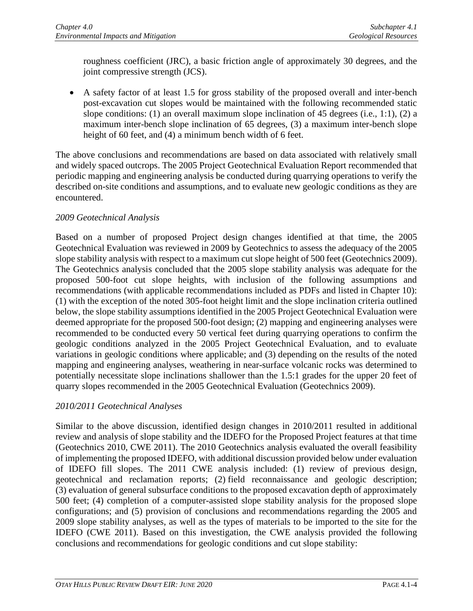roughness coefficient (JRC), a basic friction angle of approximately 30 degrees, and the joint compressive strength (JCS).

• A safety factor of at least 1.5 for gross stability of the proposed overall and inter-bench post-excavation cut slopes would be maintained with the following recommended static slope conditions: (1) an overall maximum slope inclination of 45 degrees (i.e., 1:1), (2) a maximum inter-bench slope inclination of 65 degrees, (3) a maximum inter-bench slope height of 60 feet, and (4) a minimum bench width of 6 feet.

The above conclusions and recommendations are based on data associated with relatively small and widely spaced outcrops. The 2005 Project Geotechnical Evaluation Report recommended that periodic mapping and engineering analysis be conducted during quarrying operations to verify the described on-site conditions and assumptions, and to evaluate new geologic conditions as they are encountered.

# *2009 Geotechnical Analysis*

Based on a number of proposed Project design changes identified at that time, the 2005 Geotechnical Evaluation was reviewed in 2009 by Geotechnics to assess the adequacy of the 2005 slope stability analysis with respect to a maximum cut slope height of 500 feet (Geotechnics 2009). The Geotechnics analysis concluded that the 2005 slope stability analysis was adequate for the proposed 500-foot cut slope heights, with inclusion of the following assumptions and recommendations (with applicable recommendations included as PDFs and listed in Chapter 10): (1) with the exception of the noted 305-foot height limit and the slope inclination criteria outlined below, the slope stability assumptions identified in the 2005 Project Geotechnical Evaluation were deemed appropriate for the proposed 500-foot design; (2) mapping and engineering analyses were recommended to be conducted every 50 vertical feet during quarrying operations to confirm the geologic conditions analyzed in the 2005 Project Geotechnical Evaluation, and to evaluate variations in geologic conditions where applicable; and (3) depending on the results of the noted mapping and engineering analyses, weathering in near-surface volcanic rocks was determined to potentially necessitate slope inclinations shallower than the 1.5:1 grades for the upper 20 feet of quarry slopes recommended in the 2005 Geotechnical Evaluation (Geotechnics 2009).

## *2010/2011 Geotechnical Analyses*

Similar to the above discussion, identified design changes in 2010/2011 resulted in additional review and analysis of slope stability and the IDEFO for the Proposed Project features at that time (Geotechnics 2010, CWE 2011). The 2010 Geotechnics analysis evaluated the overall feasibility of implementing the proposed IDEFO, with additional discussion provided below under evaluation of IDEFO fill slopes. The 2011 CWE analysis included: (1) review of previous design, geotechnical and reclamation reports; (2) field reconnaissance and geologic description; (3) evaluation of general subsurface conditions to the proposed excavation depth of approximately 500 feet; (4) completion of a computer-assisted slope stability analysis for the proposed slope configurations; and (5) provision of conclusions and recommendations regarding the 2005 and 2009 slope stability analyses, as well as the types of materials to be imported to the site for the IDEFO (CWE 2011). Based on this investigation, the CWE analysis provided the following conclusions and recommendations for geologic conditions and cut slope stability: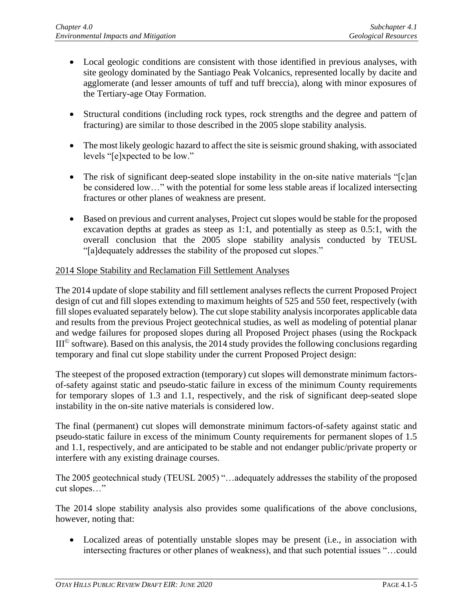- Local geologic conditions are consistent with those identified in previous analyses, with site geology dominated by the Santiago Peak Volcanics, represented locally by dacite and agglomerate (and lesser amounts of tuff and tuff breccia), along with minor exposures of the Tertiary-age Otay Formation.
- Structural conditions (including rock types, rock strengths and the degree and pattern of fracturing) are similar to those described in the 2005 slope stability analysis.
- The most likely geologic hazard to affect the site is seismic ground shaking, with associated levels "[e]xpected to be low."
- The risk of significant deep-seated slope instability in the on-site native materials "[c]an be considered low…" with the potential for some less stable areas if localized intersecting fractures or other planes of weakness are present.
- Based on previous and current analyses, Project cut slopes would be stable for the proposed excavation depths at grades as steep as 1:1, and potentially as steep as 0.5:1, with the overall conclusion that the 2005 slope stability analysis conducted by TEUSL "[a]dequately addresses the stability of the proposed cut slopes."

## 2014 Slope Stability and Reclamation Fill Settlement Analyses

The 2014 update of slope stability and fill settlement analyses reflects the current Proposed Project design of cut and fill slopes extending to maximum heights of 525 and 550 feet, respectively (with fill slopes evaluated separately below). The cut slope stability analysis incorporates applicable data and results from the previous Project geotechnical studies, as well as modeling of potential planar and wedge failures for proposed slopes during all Proposed Project phases (using the Rockpack  $III<sup>°</sup>$  software). Based on this analysis, the 2014 study provides the following conclusions regarding temporary and final cut slope stability under the current Proposed Project design:

The steepest of the proposed extraction (temporary) cut slopes will demonstrate minimum factorsof-safety against static and pseudo-static failure in excess of the minimum County requirements for temporary slopes of 1.3 and 1.1, respectively, and the risk of significant deep-seated slope instability in the on-site native materials is considered low.

The final (permanent) cut slopes will demonstrate minimum factors-of-safety against static and pseudo-static failure in excess of the minimum County requirements for permanent slopes of 1.5 and 1.1, respectively, and are anticipated to be stable and not endanger public/private property or interfere with any existing drainage courses.

The 2005 geotechnical study (TEUSL 2005) "…adequately addresses the stability of the proposed cut slopes…"

The 2014 slope stability analysis also provides some qualifications of the above conclusions, however, noting that:

• Localized areas of potentially unstable slopes may be present (i.e., in association with intersecting fractures or other planes of weakness), and that such potential issues "…could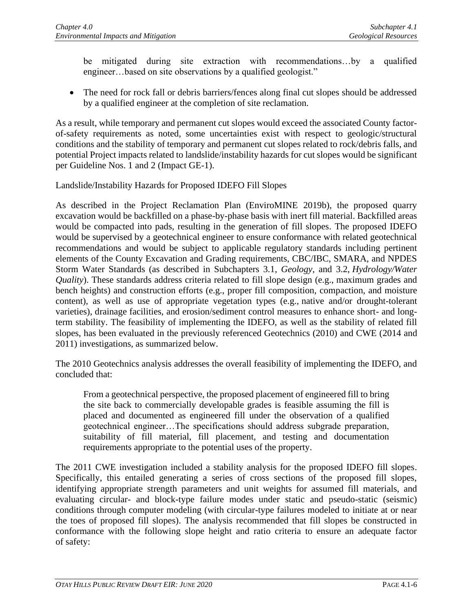be mitigated during site extraction with recommendations…by a qualified engineer...based on site observations by a qualified geologist."

• The need for rock fall or debris barriers/fences along final cut slopes should be addressed by a qualified engineer at the completion of site reclamation.

As a result, while temporary and permanent cut slopes would exceed the associated County factorof-safety requirements as noted, some uncertainties exist with respect to geologic/structural conditions and the stability of temporary and permanent cut slopes related to rock/debris falls, and potential Project impacts related to landslide/instability hazards for cut slopes would be significant per Guideline Nos. 1 and 2 (Impact GE-1).

#### Landslide/Instability Hazards for Proposed IDEFO Fill Slopes

As described in the Project Reclamation Plan (EnviroMINE 2019b), the proposed quarry excavation would be backfilled on a phase-by-phase basis with inert fill material. Backfilled areas would be compacted into pads, resulting in the generation of fill slopes. The proposed IDEFO would be supervised by a geotechnical engineer to ensure conformance with related geotechnical recommendations and would be subject to applicable regulatory standards including pertinent elements of the County Excavation and Grading requirements, CBC/IBC, SMARA, and NPDES Storm Water Standards (as described in Subchapters 3.1, *Geology*, and 3.2, *Hydrology/Water Quality*). These standards address criteria related to fill slope design (e.g., maximum grades and bench heights) and construction efforts (e.g., proper fill composition, compaction, and moisture content), as well as use of appropriate vegetation types (e.g., native and/or drought-tolerant varieties), drainage facilities, and erosion/sediment control measures to enhance short- and longterm stability. The feasibility of implementing the IDEFO, as well as the stability of related fill slopes, has been evaluated in the previously referenced Geotechnics (2010) and CWE (2014 and 2011) investigations, as summarized below.

The 2010 Geotechnics analysis addresses the overall feasibility of implementing the IDEFO, and concluded that:

From a geotechnical perspective, the proposed placement of engineered fill to bring the site back to commercially developable grades is feasible assuming the fill is placed and documented as engineered fill under the observation of a qualified geotechnical engineer…The specifications should address subgrade preparation, suitability of fill material, fill placement, and testing and documentation requirements appropriate to the potential uses of the property.

The 2011 CWE investigation included a stability analysis for the proposed IDEFO fill slopes. Specifically, this entailed generating a series of cross sections of the proposed fill slopes, identifying appropriate strength parameters and unit weights for assumed fill materials, and evaluating circular- and block-type failure modes under static and pseudo-static (seismic) conditions through computer modeling (with circular-type failures modeled to initiate at or near the toes of proposed fill slopes). The analysis recommended that fill slopes be constructed in conformance with the following slope height and ratio criteria to ensure an adequate factor of safety: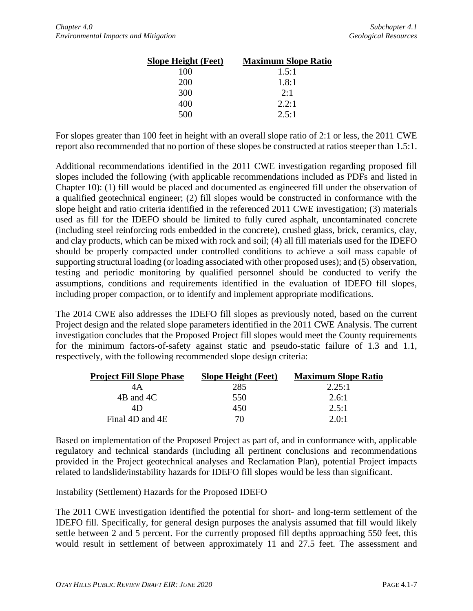| <b>Slope Height (Feet)</b> | <b>Maximum Slope Ratio</b> |
|----------------------------|----------------------------|
| 100                        | 1.5:1                      |
| 200                        | 1.8:1                      |
| 300                        | 2:1                        |
| 400                        | 2.2:1                      |
| 500                        | 2.5:1                      |

For slopes greater than 100 feet in height with an overall slope ratio of 2:1 or less, the 2011 CWE report also recommended that no portion of these slopes be constructed at ratios steeper than 1.5:1.

Additional recommendations identified in the 2011 CWE investigation regarding proposed fill slopes included the following (with applicable recommendations included as PDFs and listed in Chapter 10): (1) fill would be placed and documented as engineered fill under the observation of a qualified geotechnical engineer; (2) fill slopes would be constructed in conformance with the slope height and ratio criteria identified in the referenced 2011 CWE investigation; (3) materials used as fill for the IDEFO should be limited to fully cured asphalt, uncontaminated concrete (including steel reinforcing rods embedded in the concrete), crushed glass, brick, ceramics, clay, and clay products, which can be mixed with rock and soil; (4) all fill materials used for the IDEFO should be properly compacted under controlled conditions to achieve a soil mass capable of supporting structural loading (or loading associated with other proposed uses); and (5) observation, testing and periodic monitoring by qualified personnel should be conducted to verify the assumptions, conditions and requirements identified in the evaluation of IDEFO fill slopes, including proper compaction, or to identify and implement appropriate modifications.

The 2014 CWE also addresses the IDEFO fill slopes as previously noted, based on the current Project design and the related slope parameters identified in the 2011 CWE Analysis. The current investigation concludes that the Proposed Project fill slopes would meet the County requirements for the minimum factors-of-safety against static and pseudo-static failure of 1.3 and 1.1, respectively, with the following recommended slope design criteria:

| <b>Project Fill Slope Phase</b> | <b>Slope Height (Feet)</b> | <b>Maximum Slope Ratio</b> |
|---------------------------------|----------------------------|----------------------------|
| 4Α                              | 285                        | 2.25:1                     |
| 4B and 4C                       | 550                        | 2.6:1                      |
| 4D                              | 450                        | 2.5:1                      |
| Final 4D and 4E                 | 70.                        | $2.0 \cdot 1$              |

Based on implementation of the Proposed Project as part of, and in conformance with, applicable regulatory and technical standards (including all pertinent conclusions and recommendations provided in the Project geotechnical analyses and Reclamation Plan), potential Project impacts related to landslide/instability hazards for IDEFO fill slopes would be less than significant.

Instability (Settlement) Hazards for the Proposed IDEFO

The 2011 CWE investigation identified the potential for short- and long-term settlement of the IDEFO fill. Specifically, for general design purposes the analysis assumed that fill would likely settle between 2 and 5 percent. For the currently proposed fill depths approaching 550 feet, this would result in settlement of between approximately 11 and 27.5 feet. The assessment and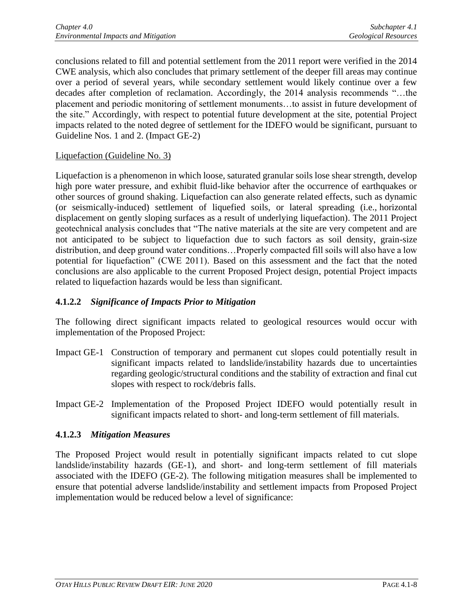conclusions related to fill and potential settlement from the 2011 report were verified in the 2014 CWE analysis, which also concludes that primary settlement of the deeper fill areas may continue over a period of several years, while secondary settlement would likely continue over a few decades after completion of reclamation. Accordingly, the 2014 analysis recommends "…the placement and periodic monitoring of settlement monuments…to assist in future development of the site." Accordingly, with respect to potential future development at the site, potential Project impacts related to the noted degree of settlement for the IDEFO would be significant, pursuant to Guideline Nos. 1 and 2. (Impact GE-2)

## Liquefaction (Guideline No. 3)

Liquefaction is a phenomenon in which loose, saturated granular soils lose shear strength, develop high pore water pressure, and exhibit fluid-like behavior after the occurrence of earthquakes or other sources of ground shaking. Liquefaction can also generate related effects, such as dynamic (or seismically-induced) settlement of liquefied soils, or lateral spreading (i.e., horizontal displacement on gently sloping surfaces as a result of underlying liquefaction). The 2011 Project geotechnical analysis concludes that "The native materials at the site are very competent and are not anticipated to be subject to liquefaction due to such factors as soil density, grain-size distribution, and deep ground water conditions…Properly compacted fill soils will also have a low potential for liquefaction" (CWE 2011). Based on this assessment and the fact that the noted conclusions are also applicable to the current Proposed Project design, potential Project impacts related to liquefaction hazards would be less than significant.

## **4.1.2.2** *Significance of Impacts Prior to Mitigation*

The following direct significant impacts related to geological resources would occur with implementation of the Proposed Project:

- Impact GE-1 Construction of temporary and permanent cut slopes could potentially result in significant impacts related to landslide/instability hazards due to uncertainties regarding geologic/structural conditions and the stability of extraction and final cut slopes with respect to rock/debris falls.
- Impact GE-2 Implementation of the Proposed Project IDEFO would potentially result in significant impacts related to short- and long-term settlement of fill materials.

## **4.1.2.3** *Mitigation Measures*

The Proposed Project would result in potentially significant impacts related to cut slope landslide/instability hazards (GE-1), and short- and long-term settlement of fill materials associated with the IDEFO (GE-2). The following mitigation measures shall be implemented to ensure that potential adverse landslide/instability and settlement impacts from Proposed Project implementation would be reduced below a level of significance: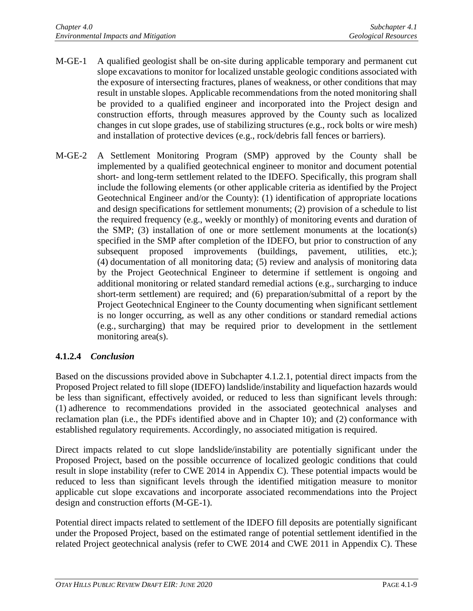- M-GE-1 A qualified geologist shall be on-site during applicable temporary and permanent cut slope excavations to monitor for localized unstable geologic conditions associated with the exposure of intersecting fractures, planes of weakness, or other conditions that may result in unstable slopes. Applicable recommendations from the noted monitoring shall be provided to a qualified engineer and incorporated into the Project design and construction efforts, through measures approved by the County such as localized changes in cut slope grades, use of stabilizing structures (e.g., rock bolts or wire mesh) and installation of protective devices (e.g., rock/debris fall fences or barriers).
- M-GE-2 A Settlement Monitoring Program (SMP) approved by the County shall be implemented by a qualified geotechnical engineer to monitor and document potential short- and long-term settlement related to the IDEFO. Specifically, this program shall include the following elements (or other applicable criteria as identified by the Project Geotechnical Engineer and/or the County): (1) identification of appropriate locations and design specifications for settlement monuments; (2) provision of a schedule to list the required frequency (e.g., weekly or monthly) of monitoring events and duration of the SMP; (3) installation of one or more settlement monuments at the location(s) specified in the SMP after completion of the IDEFO, but prior to construction of any subsequent proposed improvements (buildings, pavement, utilities, etc.); (4) documentation of all monitoring data; (5) review and analysis of monitoring data by the Project Geotechnical Engineer to determine if settlement is ongoing and additional monitoring or related standard remedial actions (e.g., surcharging to induce short-term settlement) are required; and (6) preparation/submittal of a report by the Project Geotechnical Engineer to the County documenting when significant settlement is no longer occurring, as well as any other conditions or standard remedial actions (e.g., surcharging) that may be required prior to development in the settlement monitoring area(s).

# **4.1.2.4** *Conclusion*

Based on the discussions provided above in Subchapter 4.1.2.1, potential direct impacts from the Proposed Project related to fill slope (IDEFO) landslide/instability and liquefaction hazards would be less than significant, effectively avoided, or reduced to less than significant levels through: (1) adherence to recommendations provided in the associated geotechnical analyses and reclamation plan (i.e., the PDFs identified above and in Chapter 10); and (2) conformance with established regulatory requirements. Accordingly, no associated mitigation is required.

Direct impacts related to cut slope landslide/instability are potentially significant under the Proposed Project, based on the possible occurrence of localized geologic conditions that could result in slope instability (refer to CWE 2014 in Appendix C). These potential impacts would be reduced to less than significant levels through the identified mitigation measure to monitor applicable cut slope excavations and incorporate associated recommendations into the Project design and construction efforts (M-GE-1).

Potential direct impacts related to settlement of the IDEFO fill deposits are potentially significant under the Proposed Project, based on the estimated range of potential settlement identified in the related Project geotechnical analysis (refer to CWE 2014 and CWE 2011 in Appendix C). These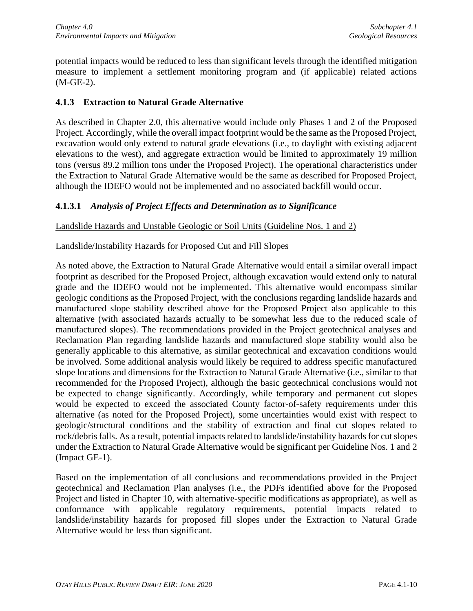potential impacts would be reduced to less than significant levels through the identified mitigation measure to implement a settlement monitoring program and (if applicable) related actions (M-GE-2).

## **4.1.3 Extraction to Natural Grade Alternative**

As described in Chapter 2.0, this alternative would include only Phases 1 and 2 of the Proposed Project. Accordingly, while the overall impact footprint would be the same as the Proposed Project, excavation would only extend to natural grade elevations (i.e., to daylight with existing adjacent elevations to the west), and aggregate extraction would be limited to approximately 19 million tons (versus 89.2 million tons under the Proposed Project). The operational characteristics under the Extraction to Natural Grade Alternative would be the same as described for Proposed Project, although the IDEFO would not be implemented and no associated backfill would occur.

#### **4.1.3.1** *Analysis of Project Effects and Determination as to Significance*

Landslide Hazards and Unstable Geologic or Soil Units (Guideline Nos. 1 and 2)

Landslide/Instability Hazards for Proposed Cut and Fill Slopes

As noted above, the Extraction to Natural Grade Alternative would entail a similar overall impact footprint as described for the Proposed Project, although excavation would extend only to natural grade and the IDEFO would not be implemented. This alternative would encompass similar geologic conditions as the Proposed Project, with the conclusions regarding landslide hazards and manufactured slope stability described above for the Proposed Project also applicable to this alternative (with associated hazards actually to be somewhat less due to the reduced scale of manufactured slopes). The recommendations provided in the Project geotechnical analyses and Reclamation Plan regarding landslide hazards and manufactured slope stability would also be generally applicable to this alternative, as similar geotechnical and excavation conditions would be involved. Some additional analysis would likely be required to address specific manufactured slope locations and dimensions for the Extraction to Natural Grade Alternative (i.e., similar to that recommended for the Proposed Project), although the basic geotechnical conclusions would not be expected to change significantly. Accordingly, while temporary and permanent cut slopes would be expected to exceed the associated County factor-of-safety requirements under this alternative (as noted for the Proposed Project), some uncertainties would exist with respect to geologic/structural conditions and the stability of extraction and final cut slopes related to rock/debris falls. As a result, potential impacts related to landslide/instability hazards for cut slopes under the Extraction to Natural Grade Alternative would be significant per Guideline Nos. 1 and 2 (Impact GE-1).

Based on the implementation of all conclusions and recommendations provided in the Project geotechnical and Reclamation Plan analyses (i.e., the PDFs identified above for the Proposed Project and listed in Chapter 10, with alternative-specific modifications as appropriate), as well as conformance with applicable regulatory requirements, potential impacts related to landslide/instability hazards for proposed fill slopes under the Extraction to Natural Grade Alternative would be less than significant.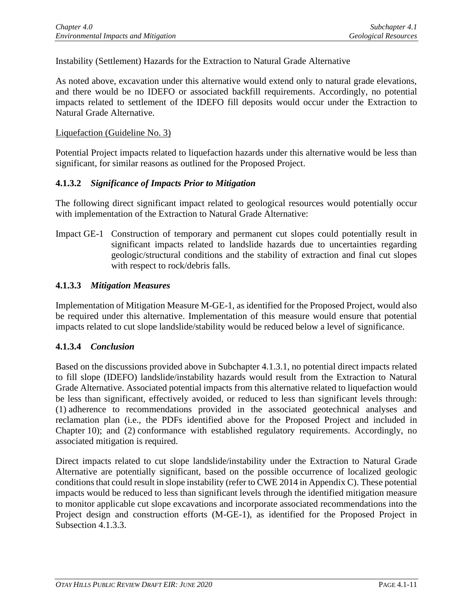Instability (Settlement) Hazards for the Extraction to Natural Grade Alternative

As noted above, excavation under this alternative would extend only to natural grade elevations, and there would be no IDEFO or associated backfill requirements. Accordingly, no potential impacts related to settlement of the IDEFO fill deposits would occur under the Extraction to Natural Grade Alternative.

#### Liquefaction (Guideline No. 3)

Potential Project impacts related to liquefaction hazards under this alternative would be less than significant, for similar reasons as outlined for the Proposed Project.

#### **4.1.3.2** *Significance of Impacts Prior to Mitigation*

The following direct significant impact related to geological resources would potentially occur with implementation of the Extraction to Natural Grade Alternative:

Impact GE-1 Construction of temporary and permanent cut slopes could potentially result in significant impacts related to landslide hazards due to uncertainties regarding geologic/structural conditions and the stability of extraction and final cut slopes with respect to rock/debris falls.

#### **4.1.3.3** *Mitigation Measures*

Implementation of Mitigation Measure M-GE-1, as identified for the Proposed Project, would also be required under this alternative. Implementation of this measure would ensure that potential impacts related to cut slope landslide/stability would be reduced below a level of significance.

#### **4.1.3.4** *Conclusion*

Based on the discussions provided above in Subchapter 4.1.3.1, no potential direct impacts related to fill slope (IDEFO) landslide/instability hazards would result from the Extraction to Natural Grade Alternative. Associated potential impacts from this alternative related to liquefaction would be less than significant, effectively avoided, or reduced to less than significant levels through: (1) adherence to recommendations provided in the associated geotechnical analyses and reclamation plan (i.e., the PDFs identified above for the Proposed Project and included in Chapter 10); and (2) conformance with established regulatory requirements. Accordingly, no associated mitigation is required.

Direct impacts related to cut slope landslide/instability under the Extraction to Natural Grade Alternative are potentially significant, based on the possible occurrence of localized geologic conditions that could result in slope instability (refer to CWE 2014 in Appendix C). These potential impacts would be reduced to less than significant levels through the identified mitigation measure to monitor applicable cut slope excavations and incorporate associated recommendations into the Project design and construction efforts (M-GE-1), as identified for the Proposed Project in Subsection 4.1.3.3.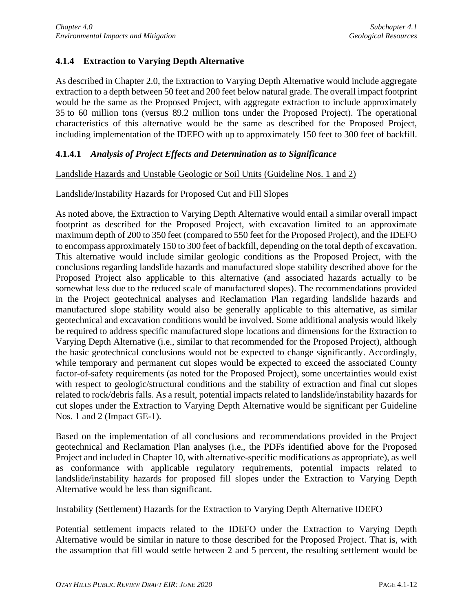# **4.1.4 Extraction to Varying Depth Alternative**

As described in Chapter 2.0, the Extraction to Varying Depth Alternative would include aggregate extraction to a depth between 50 feet and 200 feet below natural grade. The overall impact footprint would be the same as the Proposed Project, with aggregate extraction to include approximately 35 to 60 million tons (versus 89.2 million tons under the Proposed Project). The operational characteristics of this alternative would be the same as described for the Proposed Project, including implementation of the IDEFO with up to approximately 150 feet to 300 feet of backfill.

## **4.1.4.1** *Analysis of Project Effects and Determination as to Significance*

#### Landslide Hazards and Unstable Geologic or Soil Units (Guideline Nos. 1 and 2)

#### Landslide/Instability Hazards for Proposed Cut and Fill Slopes

As noted above, the Extraction to Varying Depth Alternative would entail a similar overall impact footprint as described for the Proposed Project, with excavation limited to an approximate maximum depth of 200 to 350 feet (compared to 550 feet for the Proposed Project), and the IDEFO to encompass approximately 150 to 300 feet of backfill, depending on the total depth of excavation. This alternative would include similar geologic conditions as the Proposed Project, with the conclusions regarding landslide hazards and manufactured slope stability described above for the Proposed Project also applicable to this alternative (and associated hazards actually to be somewhat less due to the reduced scale of manufactured slopes). The recommendations provided in the Project geotechnical analyses and Reclamation Plan regarding landslide hazards and manufactured slope stability would also be generally applicable to this alternative, as similar geotechnical and excavation conditions would be involved. Some additional analysis would likely be required to address specific manufactured slope locations and dimensions for the Extraction to Varying Depth Alternative (i.e., similar to that recommended for the Proposed Project), although the basic geotechnical conclusions would not be expected to change significantly. Accordingly, while temporary and permanent cut slopes would be expected to exceed the associated County factor-of-safety requirements (as noted for the Proposed Project), some uncertainties would exist with respect to geologic/structural conditions and the stability of extraction and final cut slopes related to rock/debris falls. As a result, potential impacts related to landslide/instability hazards for cut slopes under the Extraction to Varying Depth Alternative would be significant per Guideline Nos. 1 and 2 (Impact GE-1).

Based on the implementation of all conclusions and recommendations provided in the Project geotechnical and Reclamation Plan analyses (i.e., the PDFs identified above for the Proposed Project and included in Chapter 10, with alternative-specific modifications as appropriate), as well as conformance with applicable regulatory requirements, potential impacts related to landslide/instability hazards for proposed fill slopes under the Extraction to Varying Depth Alternative would be less than significant.

Instability (Settlement) Hazards for the Extraction to Varying Depth Alternative IDEFO

Potential settlement impacts related to the IDEFO under the Extraction to Varying Depth Alternative would be similar in nature to those described for the Proposed Project. That is, with the assumption that fill would settle between 2 and 5 percent, the resulting settlement would be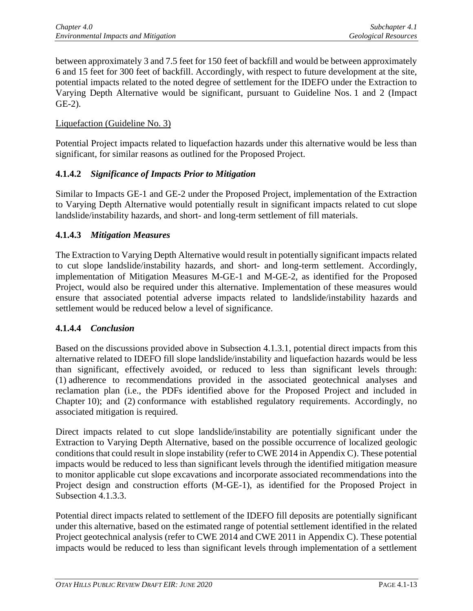between approximately 3 and 7.5 feet for 150 feet of backfill and would be between approximately 6 and 15 feet for 300 feet of backfill. Accordingly, with respect to future development at the site, potential impacts related to the noted degree of settlement for the IDEFO under the Extraction to Varying Depth Alternative would be significant, pursuant to Guideline Nos. 1 and 2 (Impact GE-2).

#### Liquefaction (Guideline No. 3)

Potential Project impacts related to liquefaction hazards under this alternative would be less than significant, for similar reasons as outlined for the Proposed Project.

## **4.1.4.2** *Significance of Impacts Prior to Mitigation*

Similar to Impacts GE-1 and GE-2 under the Proposed Project, implementation of the Extraction to Varying Depth Alternative would potentially result in significant impacts related to cut slope landslide/instability hazards, and short- and long-term settlement of fill materials.

#### **4.1.4.3** *Mitigation Measures*

The Extraction to Varying Depth Alternative would result in potentially significant impacts related to cut slope landslide/instability hazards, and short- and long-term settlement. Accordingly, implementation of Mitigation Measures M-GE-1 and M-GE-2, as identified for the Proposed Project, would also be required under this alternative. Implementation of these measures would ensure that associated potential adverse impacts related to landslide/instability hazards and settlement would be reduced below a level of significance.

## **4.1.4.4** *Conclusion*

Based on the discussions provided above in Subsection 4.1.3.1, potential direct impacts from this alternative related to IDEFO fill slope landslide/instability and liquefaction hazards would be less than significant, effectively avoided, or reduced to less than significant levels through: (1) adherence to recommendations provided in the associated geotechnical analyses and reclamation plan (i.e., the PDFs identified above for the Proposed Project and included in Chapter 10); and (2) conformance with established regulatory requirements. Accordingly, no associated mitigation is required.

Direct impacts related to cut slope landslide/instability are potentially significant under the Extraction to Varying Depth Alternative, based on the possible occurrence of localized geologic conditions that could result in slope instability (refer to CWE 2014 in Appendix C). These potential impacts would be reduced to less than significant levels through the identified mitigation measure to monitor applicable cut slope excavations and incorporate associated recommendations into the Project design and construction efforts (M-GE-1), as identified for the Proposed Project in Subsection 4.1.3.3.

Potential direct impacts related to settlement of the IDEFO fill deposits are potentially significant under this alternative, based on the estimated range of potential settlement identified in the related Project geotechnical analysis (refer to CWE 2014 and CWE 2011 in Appendix C). These potential impacts would be reduced to less than significant levels through implementation of a settlement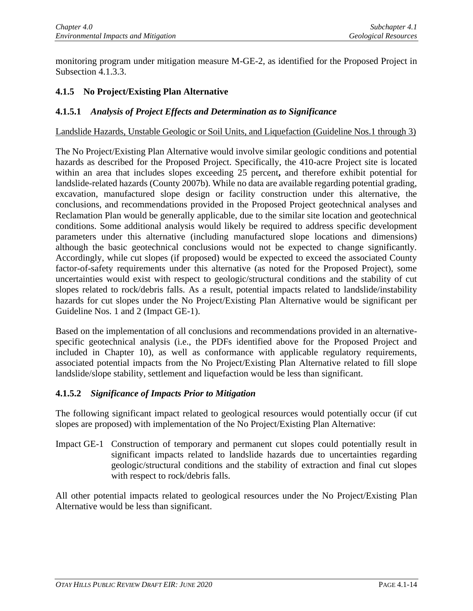monitoring program under mitigation measure M-GE-2, as identified for the Proposed Project in Subsection 4.1.3.3.

# **4.1.5 No Project/Existing Plan Alternative**

#### **4.1.5.1** *Analysis of Project Effects and Determination as to Significance*

#### Landslide Hazards, Unstable Geologic or Soil Units, and Liquefaction (Guideline Nos.1 through 3)

The No Project/Existing Plan Alternative would involve similar geologic conditions and potential hazards as described for the Proposed Project. Specifically, the 410-acre Project site is located within an area that includes slopes exceeding 25 percent**,** and therefore exhibit potential for landslide-related hazards (County 2007b). While no data are available regarding potential grading, excavation, manufactured slope design or facility construction under this alternative, the conclusions, and recommendations provided in the Proposed Project geotechnical analyses and Reclamation Plan would be generally applicable, due to the similar site location and geotechnical conditions. Some additional analysis would likely be required to address specific development parameters under this alternative (including manufactured slope locations and dimensions) although the basic geotechnical conclusions would not be expected to change significantly. Accordingly, while cut slopes (if proposed) would be expected to exceed the associated County factor-of-safety requirements under this alternative (as noted for the Proposed Project), some uncertainties would exist with respect to geologic/structural conditions and the stability of cut slopes related to rock/debris falls. As a result, potential impacts related to landslide/instability hazards for cut slopes under the No Project/Existing Plan Alternative would be significant per Guideline Nos. 1 and 2 (Impact GE-1).

Based on the implementation of all conclusions and recommendations provided in an alternativespecific geotechnical analysis (i.e., the PDFs identified above for the Proposed Project and included in Chapter 10), as well as conformance with applicable regulatory requirements, associated potential impacts from the No Project/Existing Plan Alternative related to fill slope landslide/slope stability, settlement and liquefaction would be less than significant.

## **4.1.5.2** *Significance of Impacts Prior to Mitigation*

The following significant impact related to geological resources would potentially occur (if cut slopes are proposed) with implementation of the No Project/Existing Plan Alternative:

Impact GE-1 Construction of temporary and permanent cut slopes could potentially result in significant impacts related to landslide hazards due to uncertainties regarding geologic/structural conditions and the stability of extraction and final cut slopes with respect to rock/debris falls.

All other potential impacts related to geological resources under the No Project/Existing Plan Alternative would be less than significant.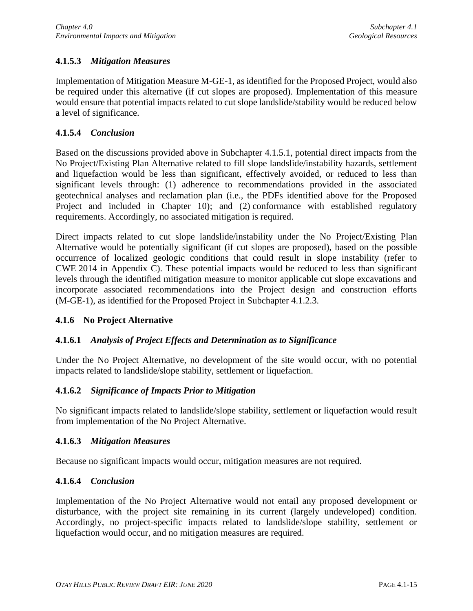# **4.1.5.3** *Mitigation Measures*

Implementation of Mitigation Measure M-GE-1, as identified for the Proposed Project, would also be required under this alternative (if cut slopes are proposed). Implementation of this measure would ensure that potential impacts related to cut slope landslide/stability would be reduced below a level of significance.

## **4.1.5.4** *Conclusion*

Based on the discussions provided above in Subchapter 4.1.5.1, potential direct impacts from the No Project/Existing Plan Alternative related to fill slope landslide/instability hazards, settlement and liquefaction would be less than significant, effectively avoided, or reduced to less than significant levels through: (1) adherence to recommendations provided in the associated geotechnical analyses and reclamation plan (i.e., the PDFs identified above for the Proposed Project and included in Chapter 10); and (2) conformance with established regulatory requirements. Accordingly, no associated mitigation is required.

Direct impacts related to cut slope landslide/instability under the No Project/Existing Plan Alternative would be potentially significant (if cut slopes are proposed), based on the possible occurrence of localized geologic conditions that could result in slope instability (refer to CWE 2014 in Appendix C). These potential impacts would be reduced to less than significant levels through the identified mitigation measure to monitor applicable cut slope excavations and incorporate associated recommendations into the Project design and construction efforts (M-GE-1), as identified for the Proposed Project in Subchapter 4.1.2.3.

## **4.1.6 No Project Alternative**

## **4.1.6.1** *Analysis of Project Effects and Determination as to Significance*

Under the No Project Alternative, no development of the site would occur, with no potential impacts related to landslide/slope stability, settlement or liquefaction.

## **4.1.6.2** *Significance of Impacts Prior to Mitigation*

No significant impacts related to landslide/slope stability, settlement or liquefaction would result from implementation of the No Project Alternative.

## **4.1.6.3** *Mitigation Measures*

Because no significant impacts would occur, mitigation measures are not required.

## **4.1.6.4** *Conclusion*

Implementation of the No Project Alternative would not entail any proposed development or disturbance, with the project site remaining in its current (largely undeveloped) condition. Accordingly, no project-specific impacts related to landslide/slope stability, settlement or liquefaction would occur, and no mitigation measures are required.